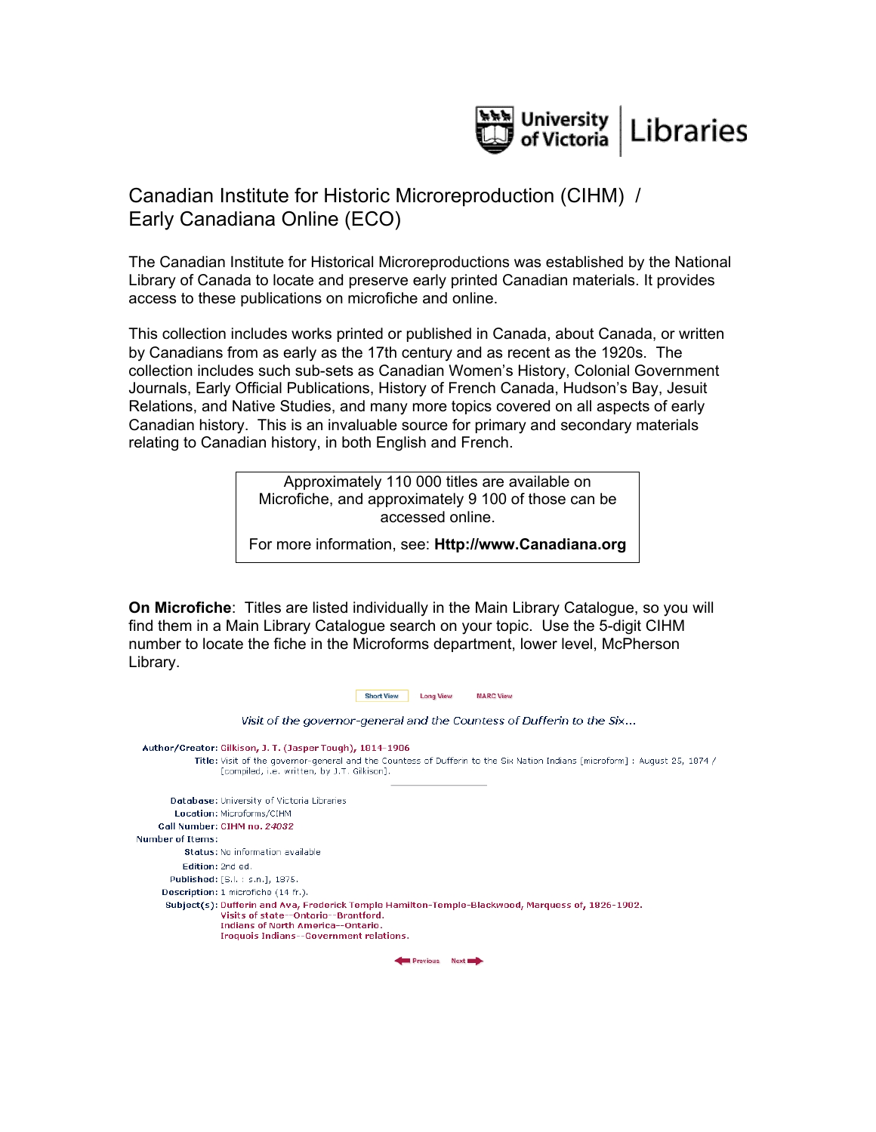

## Canadian Institute for Historic Microreproduction (CIHM) / Early Canadiana Online (ECO)

The Canadian Institute for Historical Microreproductions was established by the National Library of Canada to locate and preserve early printed Canadian materials. It provides access to these publications on microfiche and online.

This collection includes works printed or published in Canada, about Canada, or written by Canadians from as early as the 17th century and as recent as the 1920s. The collection includes such sub-sets as Canadian Women's History, Colonial Government Journals, Early Official Publications, History of French Canada, Hudson's Bay, Jesuit Relations, and Native Studies, and many more topics covered on all aspects of early Canadian history. This is an invaluable source for primary and secondary materials relating to Canadian history, in both English and French.

> Approximately 110 000 titles are available on Microfiche, and approximately 9 100 of those can be accessed online.

For more information, see: **Http://www.Canadiana.org**

**On Microfiche**: Titles are listed individually in the Main Library Catalogue, so you will find them in a Main Library Catalogue search on your topic. Use the 5-digit CIHM number to locate the fiche in the Microforms department, lower level, McPherson Library.

| <b>Short View</b><br><b>Long View</b><br><b>MARC View</b>                                                                                                                                                                               |
|-----------------------------------------------------------------------------------------------------------------------------------------------------------------------------------------------------------------------------------------|
| Visit of the governor-general and the Countess of Dufferin to the Six                                                                                                                                                                   |
| Author/Creator: Gilkison, J. T. (Jasper Tough), 1814-1906<br>Title: Visit of the governor-general and the Countess of Dufferin to the Six Nation Indians [microform] : August 25, 1874 /<br>[compiled, i.e. written, by J.T. Gilkison]. |
| Database: University of Victoria Libraries                                                                                                                                                                                              |
| Location: Microforms/CIHM                                                                                                                                                                                                               |
| Call Number: CIHM no. 24032                                                                                                                                                                                                             |
| Number of Items:                                                                                                                                                                                                                        |
| Status: No information available                                                                                                                                                                                                        |
| Edition: 2nd ed.                                                                                                                                                                                                                        |
| <b>Published:</b> [S.l.: s.n.], 1875.                                                                                                                                                                                                   |
| Description: 1 microfiche (14 fr.).                                                                                                                                                                                                     |
| Subject(s): Dufferin and Ava, Frederick Temple Hamilton-Temple-Blackwood, Marquess of, 1826-1902.<br>Visits of state--Ontario--Brantford.<br>Indians of North America--Ontario.<br>Iroquois Indians--Government relations.              |
| <b>Previous</b>                                                                                                                                                                                                                         |